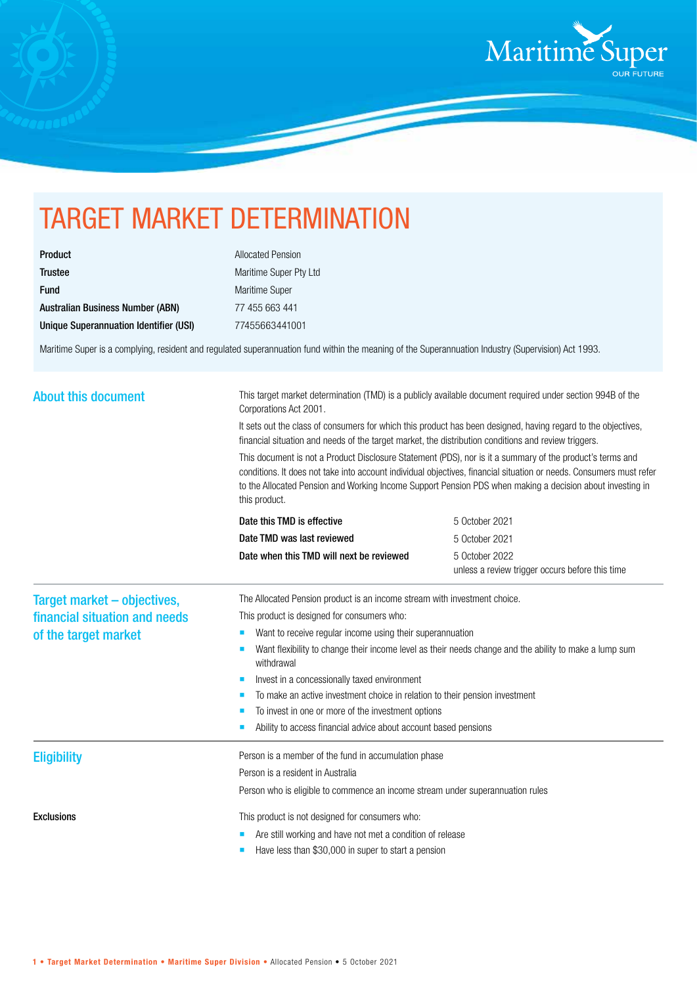

## TARGET MARKET DETERMINATION

| Product                                 |
|-----------------------------------------|
| <b>Trustee</b>                          |
| <b>Fund</b>                             |
| <b>Australian Business Number (ABN)</b> |
| Unique Superannuation Identifier (USI)  |

Allocated Pension Maritime Super Pty Ltd Maritime Super 77 455 663 441 Unique Superannuation Identifier (USI) 77455663441001

Maritime Super is a complying, resident and regulated superannuation fund within the meaning of the Superannuation Industry (Supervision) Act 1993.

| <b>About this document</b><br>Corporations Act 2001.<br>this product.                                                     | This target market determination (TMD) is a publicly available document required under section 994B of the<br>It sets out the class of consumers for which this product has been designed, having regard to the objectives,<br>financial situation and needs of the target market, the distribution conditions and review triggers.<br>This document is not a Product Disclosure Statement (PDS), nor is it a summary of the product's terms and<br>conditions. It does not take into account individual objectives, financial situation or needs. Consumers must refer<br>to the Allocated Pension and Working Income Support Pension PDS when making a decision about investing in |  |
|---------------------------------------------------------------------------------------------------------------------------|--------------------------------------------------------------------------------------------------------------------------------------------------------------------------------------------------------------------------------------------------------------------------------------------------------------------------------------------------------------------------------------------------------------------------------------------------------------------------------------------------------------------------------------------------------------------------------------------------------------------------------------------------------------------------------------|--|
| Date this TMD is effective<br>5 October 2021                                                                              |                                                                                                                                                                                                                                                                                                                                                                                                                                                                                                                                                                                                                                                                                      |  |
| Date TMD was last reviewed<br>5 October 2021                                                                              |                                                                                                                                                                                                                                                                                                                                                                                                                                                                                                                                                                                                                                                                                      |  |
| Date when this TMD will next be reviewed<br>5 October 2022<br>unless a review trigger occurs before this time             |                                                                                                                                                                                                                                                                                                                                                                                                                                                                                                                                                                                                                                                                                      |  |
| The Allocated Pension product is an income stream with investment choice.<br>Target market - objectives,                  |                                                                                                                                                                                                                                                                                                                                                                                                                                                                                                                                                                                                                                                                                      |  |
| financial situation and needs<br>This product is designed for consumers who:                                              |                                                                                                                                                                                                                                                                                                                                                                                                                                                                                                                                                                                                                                                                                      |  |
| Want to receive regular income using their superannuation<br>of the target market                                         |                                                                                                                                                                                                                                                                                                                                                                                                                                                                                                                                                                                                                                                                                      |  |
| Want flexibility to change their income level as their needs change and the ability to make a lump sum<br>п<br>withdrawal |                                                                                                                                                                                                                                                                                                                                                                                                                                                                                                                                                                                                                                                                                      |  |
| Invest in a concessionally taxed environment                                                                              |                                                                                                                                                                                                                                                                                                                                                                                                                                                                                                                                                                                                                                                                                      |  |
| To make an active investment choice in relation to their pension investment                                               |                                                                                                                                                                                                                                                                                                                                                                                                                                                                                                                                                                                                                                                                                      |  |
| To invest in one or more of the investment options                                                                        |                                                                                                                                                                                                                                                                                                                                                                                                                                                                                                                                                                                                                                                                                      |  |
| Ability to access financial advice about account based pensions                                                           |                                                                                                                                                                                                                                                                                                                                                                                                                                                                                                                                                                                                                                                                                      |  |
| Person is a member of the fund in accumulation phase<br><b>Eligibility</b>                                                |                                                                                                                                                                                                                                                                                                                                                                                                                                                                                                                                                                                                                                                                                      |  |
| Person is a resident in Australia                                                                                         |                                                                                                                                                                                                                                                                                                                                                                                                                                                                                                                                                                                                                                                                                      |  |
| Person who is eligible to commence an income stream under superannuation rules                                            |                                                                                                                                                                                                                                                                                                                                                                                                                                                                                                                                                                                                                                                                                      |  |
| <b>Exclusions</b><br>This product is not designed for consumers who:                                                      |                                                                                                                                                                                                                                                                                                                                                                                                                                                                                                                                                                                                                                                                                      |  |
| Are still working and have not met a condition of release                                                                 |                                                                                                                                                                                                                                                                                                                                                                                                                                                                                                                                                                                                                                                                                      |  |
| Have less than \$30,000 in super to start a pension                                                                       |                                                                                                                                                                                                                                                                                                                                                                                                                                                                                                                                                                                                                                                                                      |  |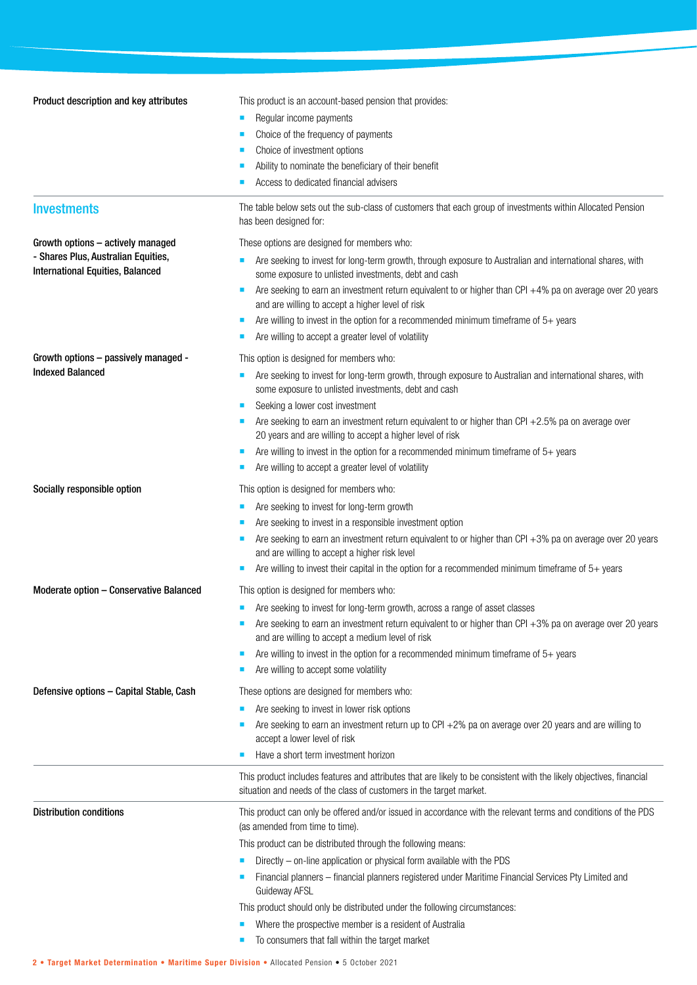| Product description and key attributes                                         | This product is an account-based pension that provides:                                                                                                                |
|--------------------------------------------------------------------------------|------------------------------------------------------------------------------------------------------------------------------------------------------------------------|
|                                                                                | Regular income payments<br>ш                                                                                                                                           |
|                                                                                | Choice of the frequency of payments                                                                                                                                    |
|                                                                                | Choice of investment options                                                                                                                                           |
|                                                                                | Ability to nominate the beneficiary of their benefit                                                                                                                   |
|                                                                                | Access to dedicated financial advisers                                                                                                                                 |
| <b>Investments</b>                                                             | The table below sets out the sub-class of customers that each group of investments within Allocated Pension<br>has been designed for:                                  |
| Growth options - actively managed                                              | These options are designed for members who:                                                                                                                            |
| - Shares Plus, Australian Equities,<br><b>International Equities, Balanced</b> | Are seeking to invest for long-term growth, through exposure to Australian and international shares, with<br>some exposure to unlisted investments, debt and cash      |
|                                                                                | Are seeking to earn an investment return equivalent to or higher than CPI +4% pa on average over 20 years<br>П<br>and are willing to accept a higher level of risk     |
|                                                                                | Are willing to invest in the option for a recommended minimum timeframe of $5+$ years                                                                                  |
|                                                                                | Are willing to accept a greater level of volatility                                                                                                                    |
| Growth options - passively managed -                                           | This option is designed for members who:                                                                                                                               |
| <b>Indexed Balanced</b>                                                        | Are seeking to invest for long-term growth, through exposure to Australian and international shares, with<br>п<br>some exposure to unlisted investments, debt and cash |
|                                                                                | Seeking a lower cost investment<br>п                                                                                                                                   |
|                                                                                | Are seeking to earn an investment return equivalent to or higher than CPI +2.5% pa on average over<br>20 years and are willing to accept a higher level of risk        |
|                                                                                | Are willing to invest in the option for a recommended minimum timeframe of $5+$ years                                                                                  |
|                                                                                | Are willing to accept a greater level of volatility                                                                                                                    |
| Socially responsible option                                                    | This option is designed for members who:                                                                                                                               |
|                                                                                | Are seeking to invest for long-term growth<br>п                                                                                                                        |
|                                                                                | Are seeking to invest in a responsible investment option<br>п                                                                                                          |
|                                                                                | Are seeking to earn an investment return equivalent to or higher than CPI +3% pa on average over 20 years<br>and are willing to accept a higher risk level             |
|                                                                                | Are willing to invest their capital in the option for a recommended minimum timeframe of $5+$ years                                                                    |
| Moderate option - Conservative Balanced                                        | This option is designed for members who:                                                                                                                               |
|                                                                                | Are seeking to invest for long-term growth, across a range of asset classes                                                                                            |
|                                                                                | Are seeking to earn an investment return equivalent to or higher than CPI +3% pa on average over 20 years                                                              |
|                                                                                | and are willing to accept a medium level of risk                                                                                                                       |
|                                                                                | Are willing to invest in the option for a recommended minimum timeframe of $5+$ years                                                                                  |
|                                                                                | Are willing to accept some volatility<br>ш                                                                                                                             |
| Defensive options - Capital Stable, Cash                                       | These options are designed for members who:                                                                                                                            |
|                                                                                | Are seeking to invest in lower risk options                                                                                                                            |
|                                                                                | Are seeking to earn an investment return up to CPI +2% pa on average over 20 years and are willing to<br>accept a lower level of risk                                  |
|                                                                                | Have a short term investment horizon                                                                                                                                   |
|                                                                                | This product includes features and attributes that are likely to be consistent with the likely objectives, financial                                                   |
|                                                                                | situation and needs of the class of customers in the target market.                                                                                                    |
| <b>Distribution conditions</b>                                                 | This product can only be offered and/or issued in accordance with the relevant terms and conditions of the PDS<br>(as amended from time to time).                      |
|                                                                                | This product can be distributed through the following means:                                                                                                           |
|                                                                                | Directly – on-line application or physical form available with the PDS                                                                                                 |
|                                                                                | Financial planners - financial planners registered under Maritime Financial Services Pty Limited and<br>Guideway AFSL                                                  |
|                                                                                | This product should only be distributed under the following circumstances:                                                                                             |
|                                                                                | Where the prospective member is a resident of Australia                                                                                                                |
|                                                                                | To consumers that fall within the target market                                                                                                                        |